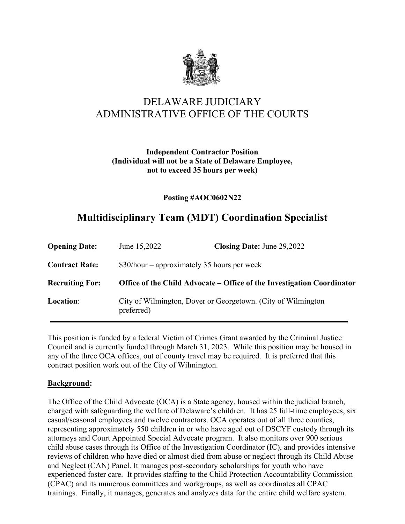

# DELAWARE JUDICIARY ADMINISTRATIVE OFFICE OF THE COURTS

#### **Independent Contractor Position (Individual will not be a State of Delaware Employee, not to exceed 35 hours per week)**

#### **Posting #AOC0602N22**

# **Multidisciplinary Team (MDT) Coordination Specialist**

| <b>Opening Date:</b>   | June 15,2022                                                                | Closing Date: June 29,2022 |
|------------------------|-----------------------------------------------------------------------------|----------------------------|
| <b>Contract Rate:</b>  | $$30/hour$ – approximately 35 hours per week                                |                            |
| <b>Recruiting For:</b> | Office of the Child Advocate – Office of the Investigation Coordinator      |                            |
| Location:              | City of Wilmington, Dover or Georgetown. (City of Wilmington)<br>preferred) |                            |

This position is funded by a federal Victim of Crimes Grant awarded by the Criminal Justice Council and is currently funded through March 31, 2023. While this position may be housed in any of the three OCA offices, out of county travel may be required. It is preferred that this contract position work out of the City of Wilmington.

#### **Background:**

The Office of the Child Advocate (OCA) is a State agency, housed within the judicial branch, charged with safeguarding the welfare of Delaware's children. It has 25 full-time employees, six casual/seasonal employees and twelve contractors. OCA operates out of all three counties, representing approximately 550 children in or who have aged out of DSCYF custody through its attorneys and Court Appointed Special Advocate program. It also monitors over 900 serious child abuse cases through its Office of the Investigation Coordinator (IC), and provides intensive reviews of children who have died or almost died from abuse or neglect through its Child Abuse and Neglect (CAN) Panel. It manages post-secondary scholarships for youth who have experienced foster care. It provides staffing to the Child Protection Accountability Commission (CPAC) and its numerous committees and workgroups, as well as coordinates all CPAC trainings. Finally, it manages, generates and analyzes data for the entire child welfare system.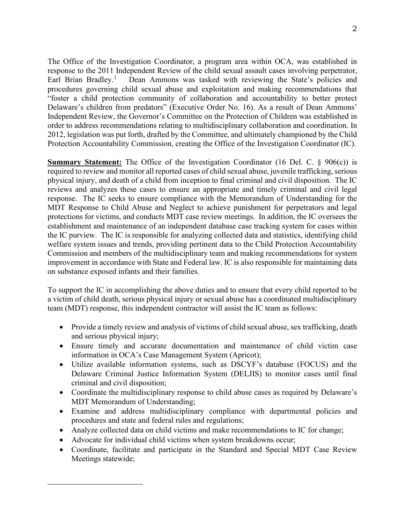The Office of the Investigation Coordinator, a program area within OCA, was established in response to the 2011 Independent Review of the child sexual assault cases involving perpetrator, Earl Brian Bradley.<sup>[1](#page-1-0)</sup> Dean Ammons was tasked with reviewing the State's policies and procedures governing child sexual abuse and exploitation and making recommendations that "foster a child protection community of collaboration and accountability to better protect Delaware's children from predators" (Executive Order No. 16). As a result of Dean Ammons' Independent Review, the Governor's Committee on the Protection of Children was established in order to address recommendations relating to multidisciplinary collaboration and coordination. In 2012, legislation was put forth, drafted by the Committee, and ultimately championed by the Child Protection Accountability Commission, creating the Office of the Investigation Coordinator (IC).

**Summary Statement:** The Office of the Investigation Coordinator (16 Del. C. § 906(c)) is required to review and monitor all reported cases of child sexual abuse, juvenile trafficking, serious physical injury, and death of a child from inception to final criminal and civil disposition. The IC reviews and analyzes these cases to ensure an appropriate and timely criminal and civil legal response. The IC seeks to ensure compliance with the Memorandum of Understanding for the MDT Response to Child Abuse and Neglect to achieve punishment for perpetrators and legal protections for victims, and conducts MDT case review meetings. In addition, the IC oversees the establishment and maintenance of an independent database case tracking system for cases within the IC purview. The IC is responsible for analyzing collected data and statistics, identifying child welfare system issues and trends, providing pertinent data to the Child Protection Accountability Commission and members of the multidisciplinary team and making recommendations for system improvement in accordance with State and Federal law. IC is also responsible for maintaining data on substance exposed infants and their families.

To support the IC in accomplishing the above duties and to ensure that every child reported to be a victim of child death, serious physical injury or sexual abuse has a coordinated multidisciplinary team (MDT) response, this independent contractor will assist the IC team as follows:

- Provide a timely review and analysis of victims of child sexual abuse, sex trafficking, death and serious physical injury;
- Ensure timely and accurate documentation and maintenance of child victim case information in OCA's Case Management System (Apricot);
- Utilize available information systems, such as DSCYF's database (FOCUS) and the Delaware Criminal Justice Information System (DELJIS) to monitor cases until final criminal and civil disposition;
- Coordinate the multidisciplinary response to child abuse cases as required by Delaware's MDT Memorandum of Understanding;
- Examine and address multidisciplinary compliance with departmental policies and procedures and state and federal rules and regulations;
- Analyze collected data on child victims and make recommendations to IC for change;
- Advocate for individual child victims when system breakdowns occur;
- <span id="page-1-0"></span>• Coordinate, facilitate and participate in the Standard and Special MDT Case Review Meetings statewide;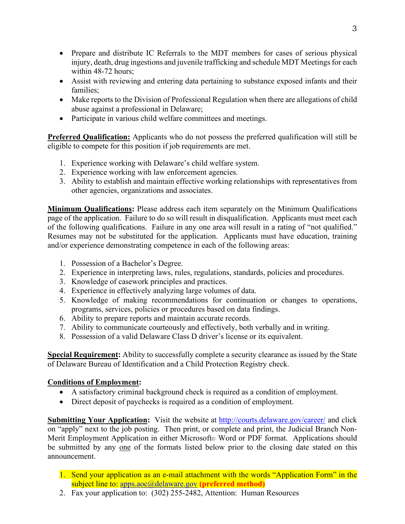- Prepare and distribute IC Referrals to the MDT members for cases of serious physical injury, death, drug ingestions and juvenile trafficking and schedule MDT Meetings for each within 48-72 hours;
- Assist with reviewing and entering data pertaining to substance exposed infants and their families;
- Make reports to the Division of Professional Regulation when there are allegations of child abuse against a professional in Delaware;
- Participate in various child welfare committees and meetings.

**Preferred Qualification:** Applicants who do not possess the preferred qualification will still be eligible to compete for this position if job requirements are met.

- 1. Experience working with Delaware's child welfare system.
- 2. Experience working with law enforcement agencies.
- 3. Ability to establish and maintain effective working relationships with representatives from other agencies, organizations and associates.

**Minimum Qualifications:** Please address each item separately on the Minimum Qualifications page of the application. Failure to do so will result in disqualification. Applicants must meet each of the following qualifications. Failure in any one area will result in a rating of "not qualified." Resumes may not be substituted for the application. Applicants must have education, training and/or experience demonstrating competence in each of the following areas:

- 1. Possession of a Bachelor's Degree.
- 2. Experience in interpreting laws, rules, regulations, standards, policies and procedures.
- 3. Knowledge of casework principles and practices.
- 4. Experience in effectively analyzing large volumes of data.
- 5. Knowledge of making recommendations for continuation or changes to operations, programs, services, policies or procedures based on data findings.
- 6. Ability to prepare reports and maintain accurate records.
- 7. Ability to communicate courteously and effectively, both verbally and in writing.
- 8. Possession of a valid Delaware Class D driver's license or its equivalent.

**Special Requirement:** Ability to successfully complete a security clearance as issued by the State of Delaware Bureau of Identification and a Child Protection Registry check.

### **Conditions of Employment:**

- A satisfactory criminal background check is required as a condition of employment.
- Direct deposit of paychecks is required as a condition of employment.

**Submitting Your Application:** Visit the website at<http://courts.delaware.gov/career/> and click on "apply" next to the job posting. Then print, or complete and print, the Judicial Branch Non-Merit Employment Application in either Microsoft© Word or PDF format. Applications should be submitted by any one of the formats listed below prior to the closing date stated on this announcement.

- 1. Send your application as an e-mail attachment with the words "Application Form" in the subject line to: [apps.aoc@delaware.gov](mailto:apps.aoc@delaware.gov) **(preferred method)**
- 2. Fax your application to: (302) 255-2482, Attention: Human Resources